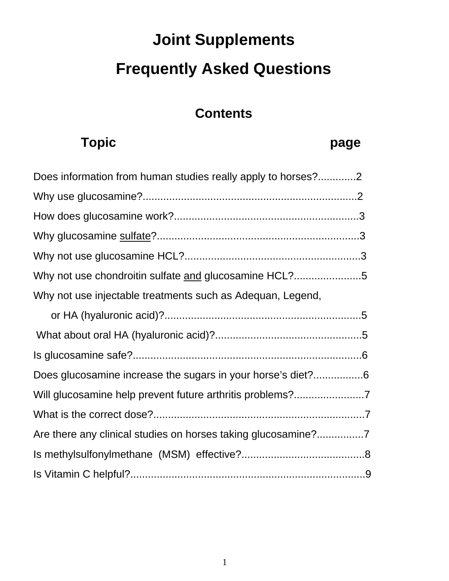# **Joint Supplements Frequently Asked Questions**

## **Contents**

# Topic **page**

| Does information from human studies really apply to horses?2 |  |
|--------------------------------------------------------------|--|
|                                                              |  |
|                                                              |  |
|                                                              |  |
|                                                              |  |
| Why not use chondroitin sulfate and glucosamine HCL?5        |  |
| Why not use injectable treatments such as Adequan, Legend,   |  |
|                                                              |  |
|                                                              |  |
|                                                              |  |
| Does glucosamine increase the sugars in your horse's diet?6  |  |
|                                                              |  |
|                                                              |  |
|                                                              |  |
|                                                              |  |
|                                                              |  |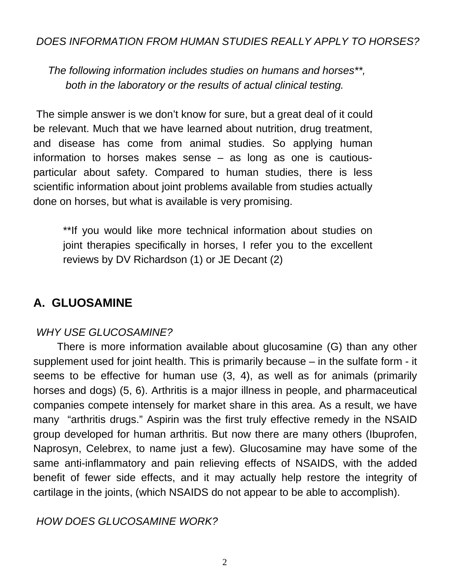#### *DOES INFORMATION FROM HUMAN STUDIES REALLY APPLY TO HORSES?*

 *The following information includes studies on humans and horses\*\*, both in the laboratory or the results of actual clinical testing.* 

 The simple answer is we don't know for sure, but a great deal of it could be relevant. Much that we have learned about nutrition, drug treatment, and disease has come from animal studies. So applying human information to horses makes sense – as long as one is cautiousparticular about safety. Compared to human studies, there is less scientific information about joint problems available from studies actually done on horses, but what is available is very promising.

\*\*If you would like more technical information about studies on joint therapies specifically in horses, I refer you to the excellent reviews by DV Richardson ([1\)](#page-9-0) or JE Decant ([2\)](#page-9-0)

#### **A. GLUOSAMINE**

#### *WHY USE GLUCOSAMINE?*

 There is more information available about glucosamine (G) than any other supplement used for joint health. This is primarily because – in the sulfate form - it seems to be effective for human use ([3](#page-9-0), [4\)](#page-9-0), as well as for animals (primarily horses and dogs) [\(5](#page-9-0), [6\)](#page-9-0). Arthritis is a major illness in people, and pharmaceutical companies compete intensely for market share in this area. As a result, we have many "arthritis drugs." Aspirin was the first truly effective remedy in the NSAID group developed for human arthritis. But now there are many others (Ibuprofen, Naprosyn, Celebrex, to name just a few). Glucosamine may have some of the same anti-inflammatory and pain relieving effects of NSAIDS, with the added benefit of fewer side effects, and it may actually help restore the integrity of cartilage in the joints, (which NSAIDS do not appear to be able to accomplish).

#### *HOW DOES GLUCOSAMINE WORK?*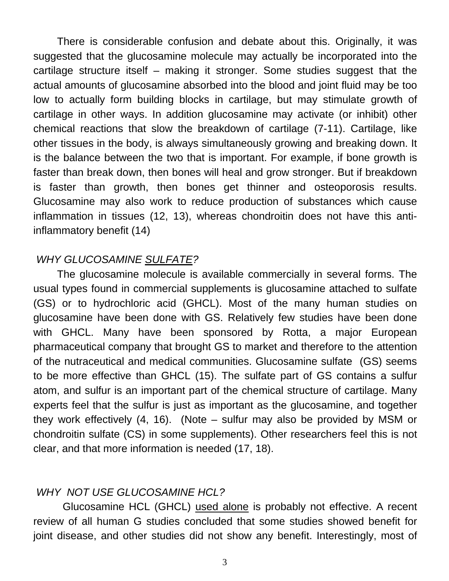There is considerable confusion and debate about this. Originally, it was suggested that the glucosamine molecule may actually be incorporated into the cartilage structure itself – making it stronger. Some studies suggest that the actual amounts of glucosamine absorbed into the blood and joint fluid may be too low to actually form building blocks in cartilage, but may stimulate growth of cartilage in other ways. In addition glucosamine may activate (or inhibit) other chemical reactions that slow the breakdown of cartilage ([7-11\)](#page-9-0). Cartilage, like other tissues in the body, is always simultaneously growing and breaking down. It is the balance between the two that is important. For example, if bone growth is faster than break down, then bones will heal and grow stronger. But if breakdown is faster than growth, then bones get thinner and osteoporosis results. Glucosamine may also work to reduce production of substances which cause inflammation in tissues [\(12,](#page-10-0) [13\)](#page-10-0), whereas chondroitin does not have this antiinflammatory benefit [\(14](#page-10-0))

#### *WHY GLUCOSAMINE SULFATE?*

The glucosamine molecule is available commercially in several forms. The usual types found in commercial supplements is glucosamine attached to sulfate (GS) or to hydrochloric acid (GHCL). Most of the many human studies on glucosamine have been done with GS. Relatively few studies have been done with GHCL. Many have been sponsored by Rotta, a major European pharmaceutical company that brought GS to market and therefore to the attention of the nutraceutical and medical communities. Glucosamine sulfate (GS) seems to be more effective than GHCL ([15](#page-10-0)). The sulfate part of GS contains a sulfur atom, and sulfur is an important part of the chemical structure of cartilage. Many experts feel that the sulfur is just as important as the glucosamine, and together they work effectively ([4,](#page-9-0) [16\)](#page-10-0). (Note – sulfur may also be provided by MSM or chondroitin sulfate (CS) in some supplements). Other researchers feel this is not clear, and that more information is needed ([17,](#page-10-0) [18](#page-10-0)).

#### *WHY NOT USE GLUCOSAMINE HCL?*

 Glucosamine HCL (GHCL) used alone is probably not effective. A recent review of all human G studies concluded that some studies showed benefit for joint disease, and other studies did not show any benefit. Interestingly, most of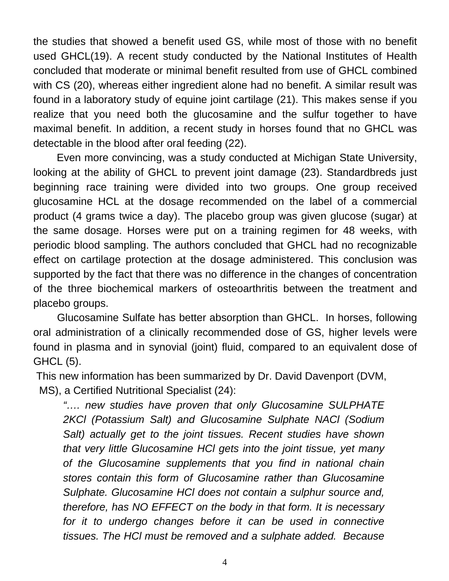the studies that showed a benefit used GS, while most of those with no benefit used GHCL[\(19\)](#page-10-0). A recent study conducted by the National Institutes of Health concluded that moderate or minimal benefit resulted from use of GHCL combined with CS ([20](#page-10-0)), whereas either ingredient alone had no benefit. A similar result was found in a laboratory study of equine joint cartilage ([21\)](#page-10-0). This makes sense if you realize that you need both the glucosamine and the sulfur together to have maximal benefit. In addition, a recent study in horses found that no GHCL was detectable in the blood after oral feeding ([22](#page-10-0)).

 Even more convincing, was a study conducted at Michigan State University, looking at the ability of GHCL to prevent joint damage [\(23](#page-10-0)). Standardbreds just beginning race training were divided into two groups. One group received glucosamine HCL at the dosage recommended on the label of a commercial product (4 grams twice a day). The placebo group was given glucose (sugar) at the same dosage. Horses were put on a training regimen for 48 weeks, with periodic blood sampling. The authors concluded that GHCL had no recognizable effect on cartilage protection at the dosage administered. This conclusion was supported by the fact that there was no difference in the changes of concentration of the three biochemical markers of osteoarthritis between the treatment and placebo groups.

 Glucosamine Sulfate has better absorption than GHCL. In horses, following oral administration of a clinically recommended dose of GS, higher levels were found in plasma and in synovial (joint) fluid, compared to an equivalent dose of GHCL ([5\)](#page-9-0).

 This new information has been summarized by Dr. David Davenport (DVM, MS), a Certified Nutritional Specialist ([24](#page-10-0)):

*"…. new studies have proven that only Glucosamine SULPHATE 2KCl (Potassium Salt) and Glucosamine Sulphate NACl (Sodium Salt) actually get to the joint tissues. Recent studies have shown that very little Glucosamine HCl gets into the joint tissue, yet many of the Glucosamine supplements that you find in national chain stores contain this form of Glucosamine rather than Glucosamine Sulphate. Glucosamine HCl does not contain a sulphur source and, therefore, has NO EFFECT on the body in that form. It is necessary*  for it to undergo changes before it can be used in connective *tissues. The HCl must be removed and a sulphate added. Because*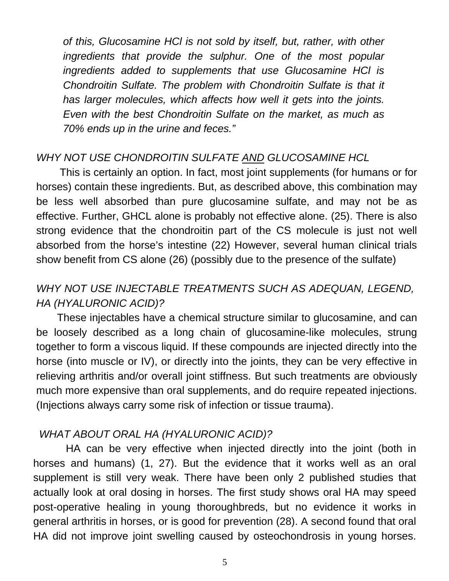*of this, Glucosamine HCl is not sold by itself, but, rather, with other ingredients that provide the sulphur. One of the most popular ingredients added to supplements that use Glucosamine HCl is Chondroitin Sulfate. The problem with Chondroitin Sulfate is that it has larger molecules, which affects how well it gets into the joints. Even with the best Chondroitin Sulfate on the market, as much as 70% ends up in the urine and feces."* 

#### *WHY NOT USE CHONDROITIN SULFATE AND GLUCOSAMINE HCL*

 This is certainly an option. In fact, most joint supplements (for humans or for horses) contain these ingredients. But, as described above, this combination may be less well absorbed than pure glucosamine sulfate, and may not be as effective. Further, GHCL alone is probably not effective alone. ([25\)](#page-10-0). There is also strong evidence that the chondroitin part of the CS molecule is just not well absorbed from the horse's intestine [\(22\)](#page-10-0) However, several human clinical trials show benefit from CS alone [\(26\)](#page-10-0) (possibly due to the presence of the sulfate)

#### *WHY NOT USE INJECTABLE TREATMENTS SUCH AS ADEQUAN, LEGEND, HA (HYALURONIC ACID)?*

 These injectables have a chemical structure similar to glucosamine, and can be loosely described as a long chain of glucosamine-like molecules, strung together to form a viscous liquid. If these compounds are injected directly into the horse (into muscle or IV), or directly into the joints, they can be very effective in relieving arthritis and/or overall joint stiffness. But such treatments are obviously much more expensive than oral supplements, and do require repeated injections. (Injections always carry some risk of infection or tissue trauma).

#### *WHAT ABOUT ORAL HA (HYALURONIC ACID)?*

 HA can be very effective when injected directly into the joint (both in horses and humans) [\(1](#page-9-0), [27](#page-10-0)). But the evidence that it works well as an oral supplement is still very weak. There have been only 2 published studies that actually look at oral dosing in horses. The first study shows oral HA may speed post-operative healing in young thoroughbreds, but no evidence it works in general arthritis in horses, or is good for prevention [\(28\)](#page-11-0). A second found that oral HA did not improve joint swelling caused by osteochondrosis in young horses.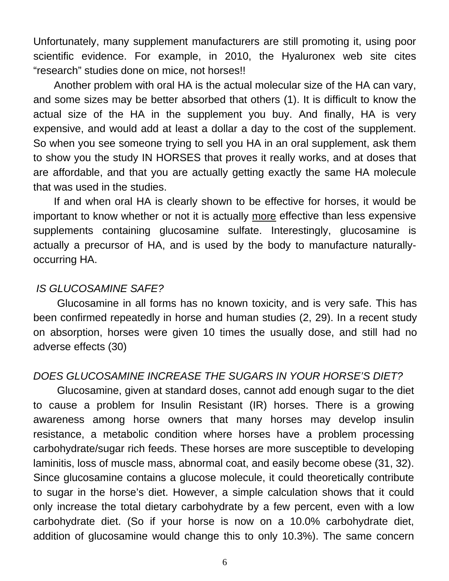Unfortunately, many supplement manufacturers are still promoting it, using poor scientific evidence. For example, in 2010, the Hyaluronex web site cites "research" studies done on mice, not horses!!

 Another problem with oral HA is the actual molecular size of the HA can vary, and some sizes may be better absorbed that others ([1](#page-9-0)). It is difficult to know the actual size of the HA in the supplement you buy. And finally, HA is very expensive, and would add at least a dollar a day to the cost of the supplement. So when you see someone trying to sell you HA in an oral supplement, ask them to show you the study IN HORSES that proves it really works, and at doses that are affordable, and that you are actually getting exactly the same HA molecule that was used in the studies.

 If and when oral HA is clearly shown to be effective for horses, it would be important to know whether or not it is actually more effective than less expensive supplements containing glucosamine sulfate. Interestingly, glucosamine is actually a precursor of HA, and is used by the body to manufacture naturallyoccurring HA.

#### *IS GLUCOSAMINE SAFE?*

 Glucosamine in all forms has no known toxicity, and is very safe. This has been confirmed repeatedly in horse and human studies [\(2](#page-9-0), [29\)](#page-11-0). In a recent study on absorption, horses were given 10 times the usually dose, and still had no adverse effects ([30](#page-11-0))

#### *DOES GLUCOSAMINE INCREASE THE SUGARS IN YOUR HORSE'S DIET?*

 Glucosamine, given at standard doses, cannot add enough sugar to the diet to cause a problem for Insulin Resistant (IR) horses. There is a growing awareness among horse owners that many horses may develop insulin resistance, a metabolic condition where horses have a problem processing carbohydrate/sugar rich feeds. These horses are more susceptible to developing laminitis, loss of muscle mass, abnormal coat, and easily become obese [\(31,](#page-11-0) [32\)](#page-11-0). Since glucosamine contains a glucose molecule, it could theoretically contribute to sugar in the horse's diet. However, a simple calculation shows that it could only increase the total dietary carbohydrate by a few percent, even with a low carbohydrate diet. (So if your horse is now on a 10.0% carbohydrate diet, addition of glucosamine would change this to only 10.3%). The same concern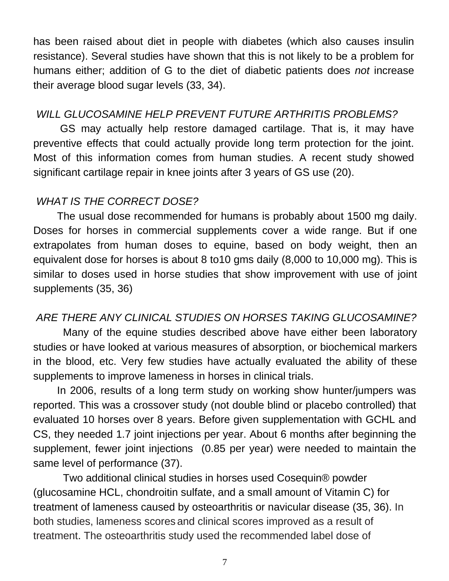has been raised about diet in people with diabetes (which also causes insulin resistance). Several studies have shown that this is not likely to be a problem for humans either; addition of G to the diet of diabetic patients does *not* increase their average blood sugar levels [\(33,](#page-11-0) [34](#page-11-0)).

#### *WILL GLUCOSAMINE HELP PREVENT FUTURE ARTHRITIS PROBLEMS?*

 GS may actually help restore damaged cartilage. That is, it may have preventive effects that could actually provide long term protection for the joint. Most of this information comes from human studies. A recent study showed significant cartilage repair in knee joints after 3 years of GS use (20).

#### *WHAT IS THE CORRECT DOSE?*

 The usual dose recommended for humans is probably about 1500 mg daily. Doses for horses in commercial supplements cover a wide range. But if one extrapolates from human doses to equine, based on body weight, then an equivalent dose for horses is about 8 to10 gms daily (8,000 to 10,000 mg). This is similar to doses used in horse studies that show improvement with use of joint supplements ([35,](#page-11-0) [36](#page-11-0))

#### *ARE THERE ANY CLINICAL STUDIES ON HORSES TAKING GLUCOSAMINE?*

Many of the equine studies described above have either been laboratory studies or have looked at various measures of absorption, or biochemical markers in the blood, etc. Very few studies have actually evaluated the ability of these supplements to improve lameness in horses in clinical trials.

 In 2006, results of a long term study on working show hunter/jumpers was reported. This was a crossover study (not double blind or placebo controlled) that evaluated 10 horses over 8 years. Before given supplementation with GCHL and CS, they needed 1.7 joint injections per year. About 6 months after beginning the supplement, fewer joint injections (0.85 per year) were needed to maintain the same level of performance ([37\)](#page-11-0).

 Two additional clinical studies in horses used Cosequin® powder (glucosamine HCL, chondroitin sulfate, and a small amount of Vitamin C) for treatment of lameness caused by osteoarthritis or navicular disease ([35](#page-11-0), [36](#page-11-0)). In both studies, lameness scores and clinical scores improved as a result of treatment. The osteoarthritis study used the recommended label dose of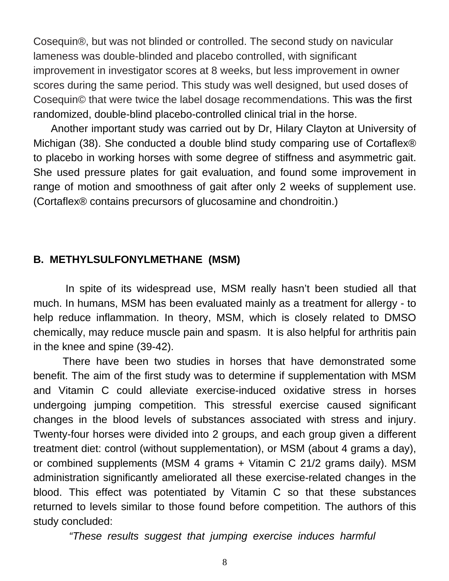Cosequin®, but was not blinded or controlled. The second study on navicular lameness was double-blinded and placebo controlled, with significant improvement in investigator scores at 8 weeks, but less improvement in owner scores during the same period. This study was well designed, but used doses of Cosequin© that were twice the label dosage recommendations. This was the first randomized, double-blind placebo-controlled clinical trial in the horse.

 Another important study was carried out by Dr, Hilary Clayton at University of Michigan [\(38](#page-11-0)). She conducted a double blind study comparing use of Cortaflex® to placebo in working horses with some degree of stiffness and asymmetric gait. She used pressure plates for gait evaluation, and found some improvement in range of motion and smoothness of gait after only 2 weeks of supplement use. (Cortaflex® contains precursors of glucosamine and chondroitin.)

#### **B. METHYLSULFONYLMETHANE (MSM)**

 In spite of its widespread use, MSM really hasn't been studied all that much. In humans, MSM has been evaluated mainly as a treatment for allergy - to help reduce inflammation. In theory, MSM, which is closely related to DMSO chemically, may reduce muscle pain and spasm. It is also helpful for arthritis pain in the knee and spine [\(39-42](#page-11-0)).

 There have been two studies in horses that have demonstrated some benefit. The aim of the first study was to determine if supplementation with MSM and Vitamin C could alleviate exercise-induced oxidative stress in horses undergoing jumping competition. This stressful exercise caused significant changes in the blood levels of substances associated with stress and injury. Twenty-four horses were divided into 2 groups, and each group given a different treatment diet: control (without supplementation), or MSM (about 4 grams a day), or combined supplements (MSM 4 grams + Vitamin C 21/2 grams daily). MSM administration significantly ameliorated all these exercise-related changes in the blood. This effect was potentiated by Vitamin C so that these substances returned to levels similar to those found before competition. The authors of this study concluded:

*"These results suggest that jumping exercise induces harmful* 

8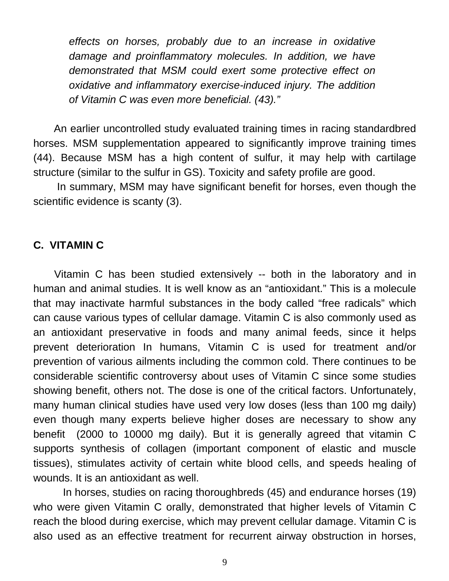*effects on horses, probably due to an increase in oxidative damage and proinflammatory molecules. In addition, we have demonstrated that MSM could exert some protective effect on oxidative and inflammatory exercise-induced injury. The addition of Vitamin C was even more beneficial. ([43](#page-11-0))."* 

 An earlier uncontrolled study evaluated training times in racing standardbred horses. MSM supplementation appeared to significantly improve training times ([44](#page-11-0)). Because MSM has a high content of sulfur, it may help with cartilage structure (similar to the sulfur in GS). Toxicity and safety profile are good.

 In summary, MSM may have significant benefit for horses, even though the scientific evidence is scanty (3).

#### **C. VITAMIN C**

 Vitamin C has been studied extensively -- both in the laboratory and in human and animal studies. It is well know as an "antioxidant." This is a molecule that may inactivate harmful substances in the body called "free radicals" which can cause various types of cellular damage. Vitamin C is also commonly used as an antioxidant preservative in foods and many animal feeds, since it helps prevent deterioration In humans, Vitamin C is used for treatment and/or prevention of various ailments including the common cold. There continues to be considerable scientific controversy about uses of Vitamin C since some studies showing benefit, others not. The dose is one of the critical factors. Unfortunately, many human clinical studies have used very low doses (less than 100 mg daily) even though many experts believe higher doses are necessary to show any benefit (2000 to 10000 mg daily). But it is generally agreed that vitamin C supports synthesis of collagen (important component of elastic and muscle tissues), stimulates activity of certain white blood cells, and speeds healing of wounds. It is an antioxidant as well.

 In horses, studies on racing thoroughbreds [\(45\)](#page-12-0) and endurance horses (19) who were given Vitamin C orally, demonstrated that higher levels of Vitamin C reach the blood during exercise, which may prevent cellular damage. Vitamin C is also used as an effective treatment for recurrent airway obstruction in horses,

9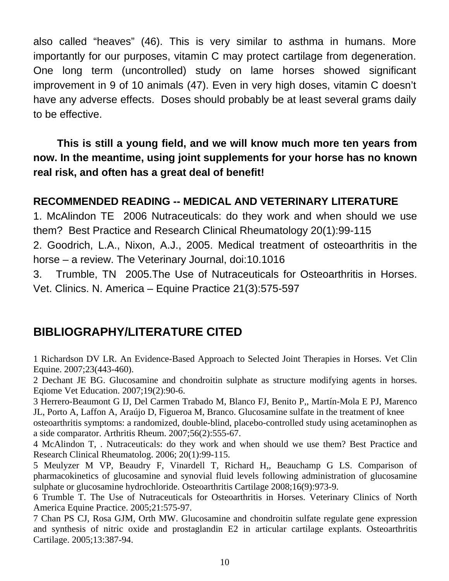<span id="page-9-0"></span>also called "heaves" ([46\)](#page-12-0). This is very similar to asthma in humans. More importantly for our purposes, vitamin C may protect cartilage from degeneration. One long term (uncontrolled) study on lame horses showed significant improvement in 9 of 10 animals [\(47](#page-12-0)). Even in very high doses, vitamin C doesn't have any adverse effects. Doses should probably be at least several grams daily to be effective.

 **This is still a young field, and we will know much more ten years from now. In the meantime, using joint supplements for your horse has no known real risk, and often has a great deal of benefit!** 

#### **RECOMMENDED READING -- MEDICAL AND VETERINARY LITERATURE**

1. McAlindon TE 2006 Nutraceuticals: do they work and when should we use them? Best Practice and Research Clinical Rheumatology 20(1):99-115 2. Goodrich, L.A., Nixon, A.J., 2005. Medical treatment of osteoarthritis in the horse – a review. The Veterinary Journal, doi:10.1016

3. Trumble, TN 2005.The Use of Nutraceuticals for Osteoarthritis in Horses. Vet. Clinics. N. America – Equine Practice 21(3):575-597

### **BIBLIOGRAPHY/LITERATURE CITED**

1 Richardson DV LR. An Evidence-Based Approach to Selected Joint Therapies in Horses. Vet Clin Equine. 2007;23(443-460).

2 Dechant JE BG. Glucosamine and chondroitin sulphate as structure modifying agents in horses. Eqiome Vet Education. 2007;19(2):90-6.

3 Herrero-Beaumont G IJ, Del Carmen Trabado M, Blanco FJ, Benito P,, Martín-Mola E PJ, Marenco JL, Porto A, Laffon A, Araújo D, Figueroa M, Branco. Glucosamine sulfate in the treatment of knee

osteoarthritis symptoms: a randomized, double-blind, placebo-controlled study using acetaminophen as a side comparator. Arthritis Rheum. 2007;56(2):555-67.

4 McAlindon T, . Nutraceuticals: do they work and when should we use them? Best Practice and Research Clinical Rheumatolog. 2006; 20(1):99-115.

5 Meulyzer M VP, Beaudry F, Vinardell T, Richard H,, Beauchamp G LS. Comparison of pharmacokinetics of glucosamine and synovial fluid levels following administration of glucosamine sulphate or glucosamine hydrochloride. Osteoarthritis Cartilage 2008;16(9):973-9.

6 Trumble T. The Use of Nutraceuticals for Osteoarthritis in Horses. Veterinary Clinics of North America Equine Practice. 2005;21:575-97.

7 Chan PS CJ, Rosa GJM, Orth MW. Glucosamine and chondroitin sulfate regulate gene expression and synthesis of nitric oxide and prostaglandin E2 in articular cartilage explants. Osteoarthritis Cartilage. 2005;13:387-94.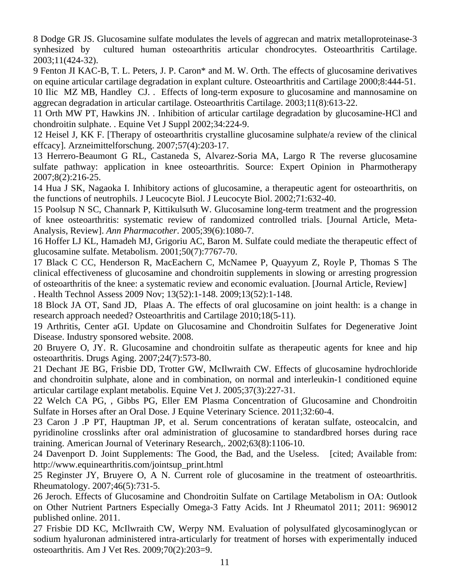<span id="page-10-0"></span>8 Dodge GR JS. Glucosamine sulfate modulates the levels of aggrecan and matrix metalloproteinase-3 synhesized by cultured human osteoarthritis articular chondrocytes. Osteoarthritis Cartilage. 2003;11(424-32).

9 Fenton JI KAC-B, T. L. Peters, J. P. Caron\* and M. W. Orth. The effects of glucosamine derivatives on equine articular cartilage degradation in explant culture. Osteoarthritis and Cartilage 2000;8:444-51.

10 Ilic MZ MB, Handley CJ. . Effects of long-term exposure to glucosamine and mannosamine on aggrecan degradation in articular cartilage. Osteoarthritis Cartilage. 2003;11(8):613-22.

11 Orth MW PT, Hawkins JN. . Inhibition of articular cartilage degradation by glucosamine-HCl and chondroitin sulphate. . Equine Vet J Suppl 2002;34:224-9.

12 Heisel J, KK F. [Therapy of osteoarthritis crystalline glucosamine sulphate/a review of the clinical effcacy]. Arzneimittelforschung. 2007;57(4):203-17.

13 Herrero-Beaumont G RL, Castaneda S, Alvarez-Soria MA, Largo R The reverse glucosamine sulfate pathway: application in knee osteoarthritis. Source: Expert Opinion in Pharmotherapy 2007;8(2):216-25.

14 Hua J SK, Nagaoka I. Inhibitory actions of glucosamine, a therapeutic agent for osteoarthritis, on the functions of neutrophils. J Leucocyte Biol. J Leucocyte Biol. 2002;71:632-40.

15 Poolsup N SC, Channark P, Kittikulsuth W. Glucosamine long-term treatment and the progression of knee osteoarthritis: systematic review of randomized controlled trials. [Journal Article, Meta-Analysis, Review]. *Ann Pharmacother*. 2005;39(6):1080-7.

16 Hoffer LJ KL, Hamadeh MJ, Grigoriu AC, Baron M. Sulfate could mediate the therapeutic effect of glucosamine sulfate. Metabolism. 2001;50(7):7767-70.

17 Black C CC, Henderson R, MacEachern C, McNamee P, Quayyum Z, Royle P, Thomas S The clinical effectiveness of glucosamine and chondroitin supplements in slowing or arresting progression of osteoarthritis of the knee: a systematic review and economic evaluation. [Journal Article, Review] . Health Technol Assess 2009 Nov; 13(52):1-148. 2009;13(52):1-148.

18 Block JA OT, Sand JD, Plaas A. The effects of oral glucosamine on joint health: is a change in research approach needed? Osteoarthritis and Cartilage 2010;18(5-11).

19 Arthritis, Center aGI. Update on Glucosamine and Chondroitin Sulfates for Degenerative Joint Disease. Industry sponsored website. 2008.

20 Bruyere O, JY. R. Glucosamine and chondroitin sulfate as therapeutic agents for knee and hip osteoarthritis. Drugs Aging. 2007;24(7):573-80.

21 Dechant JE BG, Frisbie DD, Trotter GW, McIlwraith CW. Effects of glucosamine hydrochloride and chondroitin sulphate, alone and in combination, on normal and interleukin-1 conditioned equine articular cartilage explant metabolis. Equine Vet J. 2005;37(3):227-31.

22 Welch CA PG, , Gibbs PG, Eller EM Plasma Concentration of Glucosamine and Chondroitin Sulfate in Horses after an Oral Dose. J Equine Veterinary Science. 2011;32:60-4.

23 Caron J .P PT, Hauptman JP, et al. Serum concentrations of keratan sulfate, osteocalcin, and pyridinoline crosslinks after oral administration of glucosamine to standardbred horses during race training. American Journal of Veterinary Research,. 2002;63(8):1106-10.

24 Davenport D. Joint Supplements: The Good, the Bad, and the Useless. [cited; Available from: http://www.equinearthritis.com/jointsup\_print.html

25 Reginster JY, Bruyere O, A N. Current role of glucosamine in the treatment of osteoarthritis. Rheumatology. 2007;46(5):731-5.

26 Jeroch. Effects of Glucosamine and Chondroitin Sulfate on Cartilage Metabolism in OA: Outlook on Other Nutrient Partners Especially Omega-3 Fatty Acids. Int J Rheumatol 2011; 2011: 969012 published online. 2011.

27 Frisbie DD KC, McIlwraith CW, Werpy NM. Evaluation of polysulfated glycosaminoglycan or sodium hyaluronan administered intra-articularly for treatment of horses with experimentally induced osteoarthritis. Am J Vet Res. 2009;70(2):203=9.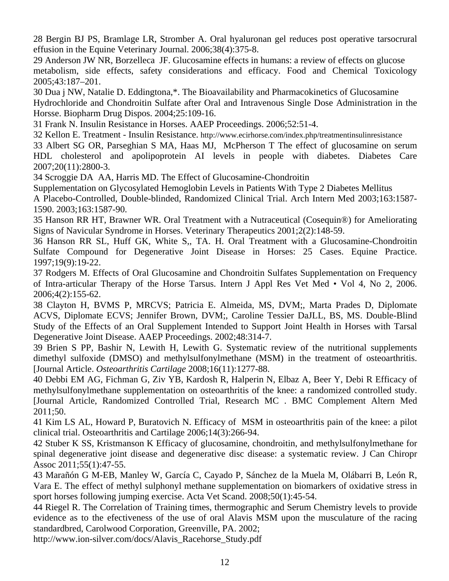<span id="page-11-0"></span>28 Bergin BJ PS, Bramlage LR, Stromber A. Oral hyaluronan gel reduces post operative tarsocrural effusion in the Equine Veterinary Journal. 2006;38(4):375-8.

29 Anderson JW NR, Borzelleca JF. Glucosamine effects in humans: a review of effects on glucose metabolism, side effects, safety considerations and efficacy. Food and Chemical Toxicology 2005;43:187–201.

30 Dua j NW, Natalie D. Eddingtona,\*. The Bioavailability and Pharmacokinetics of Glucosamine Hydrochloride and Chondroitin Sulfate after Oral and Intravenous Single Dose Administration in the Horsse. Biopharm Drug Dispos. 2004;25:109-16.

31 Frank N. Insulin Resistance in Horses. AAEP Proceedings. 2006;52:51-4.

32 Kellon E. Treatment - Insulin Resistance.<http://www.ecirhorse.com/index.php/treatmentinsulinresistance>

33 Albert SG OR, Parseghian S MA, Haas MJ, McPherson T The effect of glucosamine on serum HDL cholesterol and apolipoprotein AI levels in people with diabetes. Diabetes Care 2007;20(11):2800-3.

34 Scroggie DA AA, Harris MD. The Effect of Glucosamine-Chondroitin

Supplementation on Glycosylated Hemoglobin Levels in Patients With Type 2 Diabetes Mellitus

A Placebo-Controlled, Double-blinded, Randomized Clinical Trial. Arch Intern Med 2003;163:1587- 1590. 2003;163:1587-90.

35 Hanson RR HT, Brawner WR. Oral Treatment with a Nutraceutical (Cosequin®) for Ameliorating Signs of Navicular Syndrome in Horses. Veterinary Therapeutics 2001;2(2):148-59.

36 Hanson RR SL, Huff GK, White S,, TA. H. Oral Treatment with a Glucosamine-Chondroitin Sulfate Compound for Degenerative Joint Disease in Horses: 25 Cases. Equine Practice. 1997;19(9):19-22.

37 Rodgers M. Effects of Oral Glucosamine and Chondroitin Sulfates Supplementation on Frequency of Intra-articular Therapy of the Horse Tarsus. Intern J Appl Res Vet Med • Vol 4, No 2, 2006. 2006;4(2):155-62.

38 Clayton H, BVMS P, MRCVS; Patricia E. Almeida, MS, DVM;, Marta Prades D, Diplomate ACVS, Diplomate ECVS; Jennifer Brown, DVM;, Caroline Tessier DaJLL, BS, MS. Double-Blind Study of the Effects of an Oral Supplement Intended to Support Joint Health in Horses with Tarsal Degenerative Joint Disease. AAEP Proceedings. 2002;48:314-7.

39 Brien S PP, Bashir N, Lewith H, Lewith G. Systematic review of the nutritional supplements dimethyl sulfoxide (DMSO) and methylsulfonylmethane (MSM) in the treatment of osteoarthritis. [Journal Article. *Osteoarthritis Cartilage* 2008;16(11):1277-88.

40 Debbi EM AG, Fichman G, Ziv YB, Kardosh R, Halperin N, Elbaz A, Beer Y, Debi R Efficacy of methylsulfonylmethane supplementation on osteoarthritis of the knee: a randomized controlled study. [Journal Article, Randomized Controlled Trial, Research MC . BMC Complement Altern Med 2011;50.

41 Kim LS AL, Howard P, Buratovich N. Efficacy of MSM in osteoarthritis pain of the knee: a pilot clinical trial. Osteoarthritis and Cartilage 2006;14(3):266-94.

42 Stuber K SS, Kristmanson K Efficacy of glucosamine, chondroitin, and methylsulfonylmethane for spinal degenerative joint disease and degenerative disc disease: a systematic review. J Can Chiropr Assoc 2011;55(1):47-55.

43 Marañón G M-EB, Manley W, García C, Cayado P, Sánchez de la Muela M, Olábarri B, León R, Vara E. The effect of methyl sulphonyl methane supplementation on biomarkers of oxidative stress in sport horses following jumping exercise. Acta Vet Scand. 2008;50(1):45-54.

44 Riegel R. The Correlation of Training times, thermographic and Serum Chemistry levels to provide evidence as to the efectiveness of the use of oral Alavis MSM upon the musculature of the racing standardbred, Carolwood Corporation, Greenville, PA. 2002;

[http://www.ion-silver.com/docs/Alavis\\_Racehorse\\_Study.pdf](http://www.ion-silver.com/docs/Alavis_Racehorse_Study.pdf)